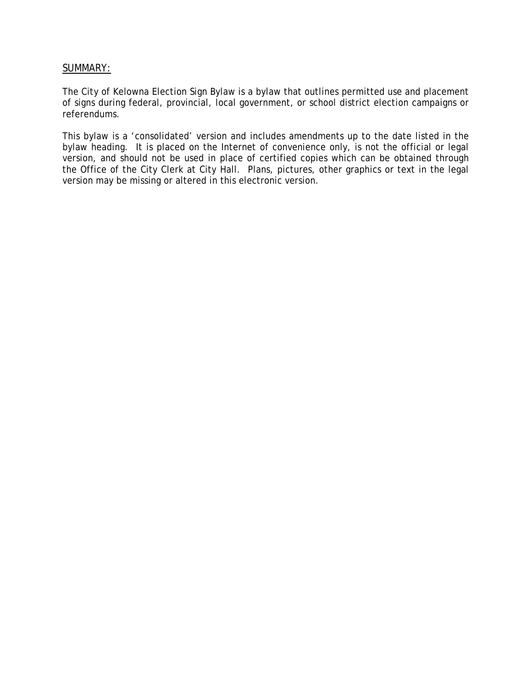## SUMMARY:

The City of Kelowna Election Sign Bylaw is a bylaw that outlines permitted use and placement of signs during federal, provincial, local government, or school district election campaigns or referendums.

This bylaw is a 'consolidated' version and includes amendments up to the date listed in the bylaw heading. It is placed on the Internet of convenience only, is not the official or legal version, and should not be used in place of certified copies which can be obtained through the Office of the City Clerk at City Hall. Plans, pictures, other graphics or text in the legal version may be missing or altered in this electronic version.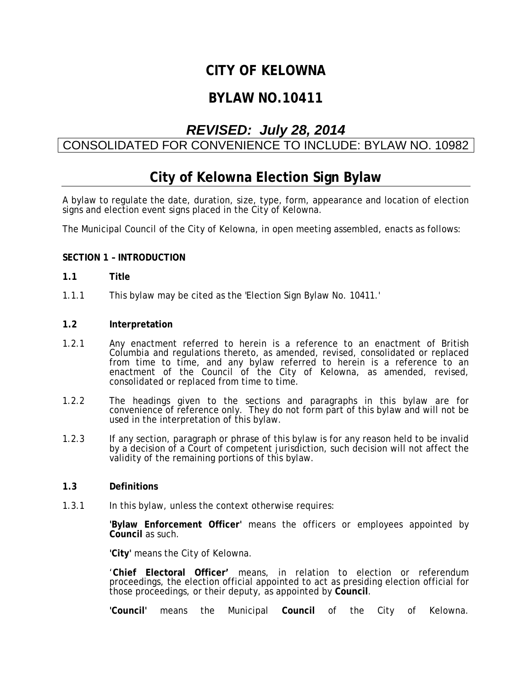# **CITY OF KELOWNA**

# **BYLAW NO.10411**

# *REVISED: July 28, 2014*

# CONSOLIDATED FOR CONVENIENCE TO INCLUDE: BYLAW NO. 10982

# **City of Kelowna Election Sign Bylaw**

A bylaw to regulate the date, duration, size, type, form, appearance and location of election signs and election event signs placed in the City of Kelowna.

The Municipal Council of the City of Kelowna, in open meeting assembled, enacts as follows:

### **SECTION 1 – INTRODUCTION**

#### **1.1 Title**

1.1.1 This bylaw may be cited as the 'Election Sign Bylaw No. 10411.'

### **1.2 Interpretation**

- 1.2.1 Any enactment referred to herein is a reference to an enactment of British Columbia and regulations thereto, as amended, revised, consolidated or replaced from time to time, and any bylaw referred to herein is a reference to an enactment of the Council of the City of Kelowna, as amended, revised, consolidated or replaced from time to time.
- 1.2.2 The headings given to the sections and paragraphs in this bylaw are for convenience of reference only. They do not form part of this bylaw and will not be used in the interpretation of this bylaw.
- 1.2.3 If any section, paragraph or phrase of this bylaw is for any reason held to be invalid by a decision of a Court of competent jurisdiction, such decision will not affect the validity of the remaining portions of this bylaw.

### **1.3 Definitions**

1.3.1 In this bylaw, unless the context otherwise requires:

 **'Bylaw Enforcement Officer'** means the officers or employees appointed by **Council** as such.

 **'City'** means the City of Kelowna.

 '**Chief Electoral Officer'** means, in relation to election or referendum proceedings, the election official appointed to act as presiding election official for those proceedings, or their deputy, as appointed by **Council**.

**'Council'** means the Municipal **Council** of the City of Kelowna.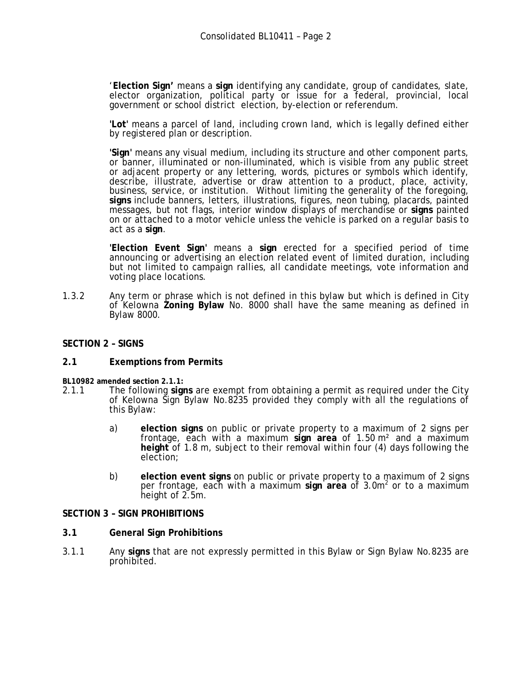'**Election Sign'** means a **sign** identifying any candidate, group of candidates, slate, elector organization, political party or issue for a federal, provincial, local government or school district election, by-election or referendum.

 **'Lot'** means a parcel of land, including crown land, which is legally defined either by registered plan or description.

 **'Sign'** means any visual medium, including its structure and other component parts, or banner, illuminated or non-illuminated, which is visible from any public street or adjacent property or any lettering, words, pictures or symbols which identify, describe, illustrate, advertise or draw attention to a product, place, activity, business, service, or institution. Without limiting the generality of the foregoing, **signs** include banners, letters, illustrations, figures, neon tubing, placards, painted messages, but not flags, interior window displays of merchandise or **signs** painted on or attached to a motor vehicle unless the vehicle is parked on a regular basis to act as a **sign**.

 **'Election Event Sign'** means a **sign** erected for a specified period of time announcing or advertising an election related event of limited duration, including but not limited to campaign rallies, all candidate meetings, vote information and voting place locations.

1.3.2 Any term or phrase which is not defined in this bylaw but which is defined in City of Kelowna **Zoning Bylaw** No. 8000 shall have the same meaning as defined in Bylaw 8000.

### **SECTION 2 – SIGNS**

#### **2.1 Exemptions from Permits**

**BL10982 amended section 2.1.1:** 

- 2.1.1 The following **signs** are exempt from obtaining a permit as required under the City of Kelowna Sign Bylaw No.8235 provided they comply with all the regulations of this Bylaw:
	- a) **election signs** on public or private property to a maximum of 2 signs per frontage, each with a maximum **sign area** of 1.50 m² and a maximum **height** of 1.8 m, subject to their removal within four (4) days following the election;
	- b) **election event signs** on public or private property to a maximum of 2 signs per frontage, each with a maximum sign area of 3.0m<sup>2</sup> or to a maximum height of 2.5m.

#### **SECTION 3 – SIGN PROHIBITIONS**

- **3.1 General Sign Prohibitions**
- 3.1.1 Any **signs** that are not expressly permitted in this Bylaw or Sign Bylaw No.8235 are prohibited.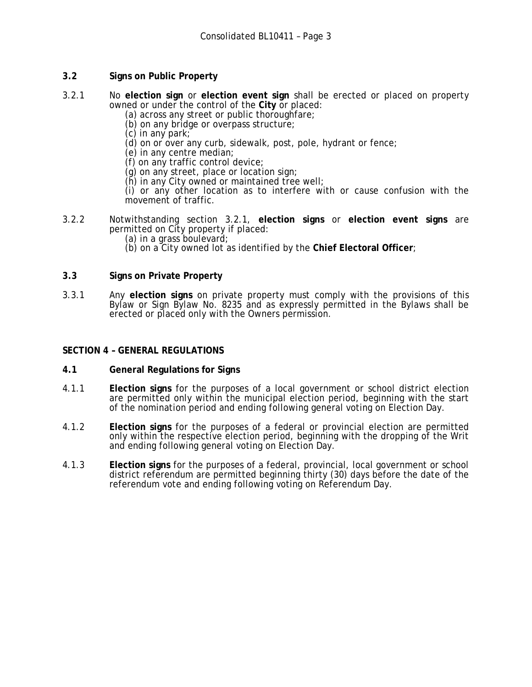# **3.2 Signs on Public Property**

- 3.2.1 No **election sign** or **election event sign** shall be erected or placed on property owned or under the control of the **City** or placed:
	- (a) across any street or public thoroughfare;
	- (b) on any bridge or overpass structure;
	- (c) in any park;
	- (d) on or over any curb, sidewalk, post, pole, hydrant or fence;
	- (e) in any centre median;
	- (f) on any traffic control device;
	- $(q)$  on any street, place or location sign;
	- (h) in any City owned or maintained tree well;

 (i) or any other location as to interfere with or cause confusion with the movement of traffic.

- 3.2.2 Notwithstanding section 3.2.1, **election signs** or **election event signs** are permitted on City property if placed:
	- (a) in a grass boulevard;
	- (b) on a City owned lot as identified by the **Chief Electoral Officer**;

## **3.3 Signs on Private Property**

3.3.1 Any **election signs** on private property must comply with the provisions of this Bylaw or Sign Bylaw No. 8235 and as expressly permitted in the Bylaws shall be erected or placed only with the Owners permission.

### **SECTION 4 – GENERAL REGULATIONS**

- **4.1 General Regulations for Signs**
- 4.1.1 **Election signs** for the purposes of a local government or school district election are permitted only within the municipal election period, beginning with the start of the nomination period and ending following general voting on Election Day.
- 4.1.2 **Election signs** for the purposes of a federal or provincial election are permitted only within the respective election period, beginning with the dropping of the Writ and ending following general voting on Election Day.
- 4.1.3 **Election signs** for the purposes of a federal, provincial, local government or school district referendum are permitted beginning thirty (30) days before the date of the referendum vote and ending following voting on Referendum Day.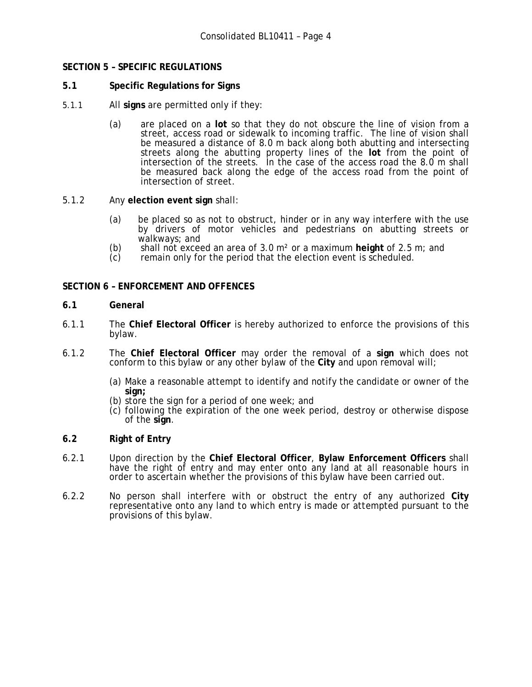## **SECTION 5 – SPECIFIC REGULATIONS**

- **5.1 Specific Regulations for Signs**
- 5.1.1 All **signs** are permitted only if they:
	- (a) are placed on a **lot** so that they do not obscure the line of vision from a street, access road or sidewalk to incoming traffic. The line of vision shall be measured a distance of 8.0 m back along both abutting and intersecting streets along the abutting property lines of the **lot** from the point of intersection of the streets. In the case of the access road the 8.0 m shall be measured back along the edge of the access road from the point of intersection of street.
- 5.1.2 Any **election event sign** shall:
	- (a) be placed so as not to obstruct, hinder or in any way interfere with the use by drivers of motor vehicles and pedestrians on abutting streets or walkways; and
	- (b) shall not exceed an area of 3.0 m² or a maximum **height** of 2.5 m; and
	- remain only for the period that the election event is scheduled.

## **SECTION 6 – ENFORCEMENT AND OFFENCES**

## **6.1 General**

- 6.1.1 The **Chief Electoral Officer** is hereby authorized to enforce the provisions of this bylaw.
- 6.1.2 The **Chief Electoral Officer** may order the removal of a **sign** which does not conform to this bylaw or any other bylaw of the **City** and upon removal will;
	- (a) Make a reasonable attempt to identify and notify the candidate or owner of the sign;<br>(b) store the sign for a period of one week; and
	-
	- $(c)$  following the expiration of the one week period, destroy or otherwise dispose of the **sign**.

## **6.2 Right of Entry**

- 6.2.1 Upon direction by the **Chief Electoral Officer**, **Bylaw Enforcement Officers** shall have the right of entry and may enter onto any land at all reasonable hours in order to ascertain whether the provisions of this bylaw have been carried out.
- 6.2.2 No person shall interfere with or obstruct the entry of any authorized **City** representative onto any land to which entry is made or attempted pursuant to the provisions of this bylaw.